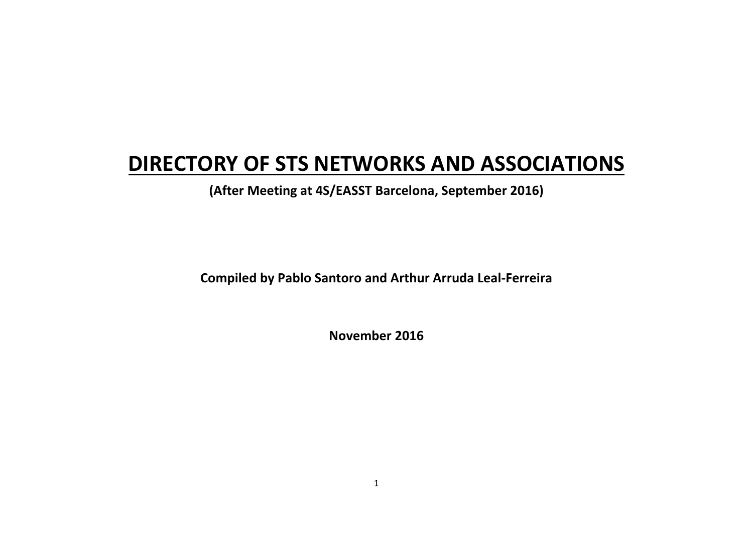# **DIRECTORY OF STS NETWORKS AND ASSOCIATIONS**

**(After Meeting at 4S/EASST Barcelona, September 2016)** 

**Compiled by Pablo Santoro and Arthur Arruda Leal-Ferreira** 

**November 2016**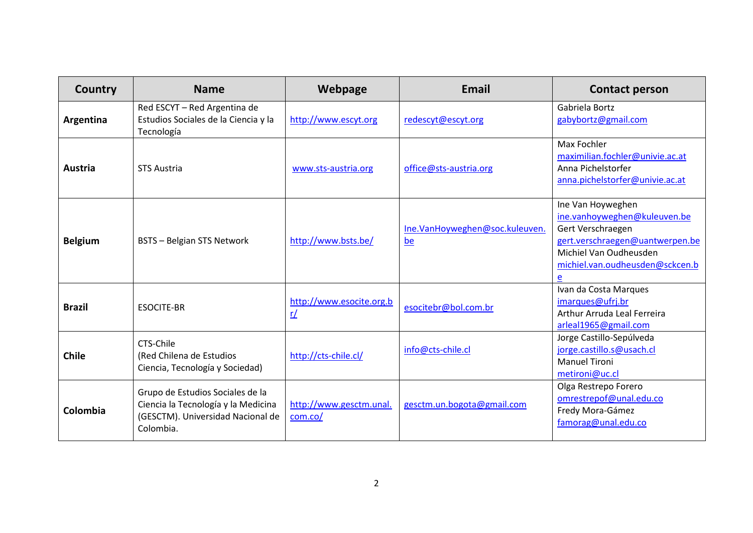| Country        | <b>Name</b>                                                                                                               | Webpage                            | <b>Email</b>                         | <b>Contact person</b>                                                                                                                                                       |
|----------------|---------------------------------------------------------------------------------------------------------------------------|------------------------------------|--------------------------------------|-----------------------------------------------------------------------------------------------------------------------------------------------------------------------------|
| Argentina      | Red ESCYT - Red Argentina de<br>Estudios Sociales de la Ciencia y la<br>Tecnología                                        | http://www.escyt.org               | redescyt@escyt.org                   | Gabriela Bortz<br>gabybortz@gmail.com                                                                                                                                       |
| Austria        | <b>STS Austria</b>                                                                                                        | www.sts-austria.org                | office@sts-austria.org               | Max Fochler<br>maximilian.fochler@univie.ac.at<br>Anna Pichelstorfer<br>anna.pichelstorfer@univie.ac.at                                                                     |
| <b>Belgium</b> | <b>BSTS - Belgian STS Network</b>                                                                                         | http://www.bsts.be/                | Ine.VanHoyweghen@soc.kuleuven.<br>be | Ine Van Hoyweghen<br>ine.vanhoyweghen@kuleuven.be<br>Gert Verschraegen<br>gert.verschraegen@uantwerpen.be<br>Michiel Van Oudheusden<br>michiel.van.oudheusden@sckcen.b<br>e |
| <b>Brazil</b>  | <b>ESOCITE-BR</b>                                                                                                         | http://www.esocite.org.b<br>r/     | esocitebr@bol.com.br                 | Ivan da Costa Marques<br>imarques@ufrj.br<br>Arthur Arruda Leal Ferreira<br>arleal1965@gmail.com                                                                            |
| <b>Chile</b>   | CTS-Chile<br>(Red Chilena de Estudios<br>Ciencia, Tecnología y Sociedad)                                                  | http://cts-chile.cl/               | info@cts-chile.cl                    | Jorge Castillo-Sepúlveda<br>jorge.castillo.s@usach.cl<br><b>Manuel Tironi</b><br>metironi@uc.cl                                                                             |
| Colombia       | Grupo de Estudios Sociales de la<br>Ciencia la Tecnología y la Medicina<br>(GESCTM). Universidad Nacional de<br>Colombia. | http://www.gesctm.unal.<br>com.co/ | gesctm.un.bogota@gmail.com           | Olga Restrepo Forero<br>omrestrepof@unal.edu.co<br>Fredy Mora-Gámez<br>famorag@unal.edu.co                                                                                  |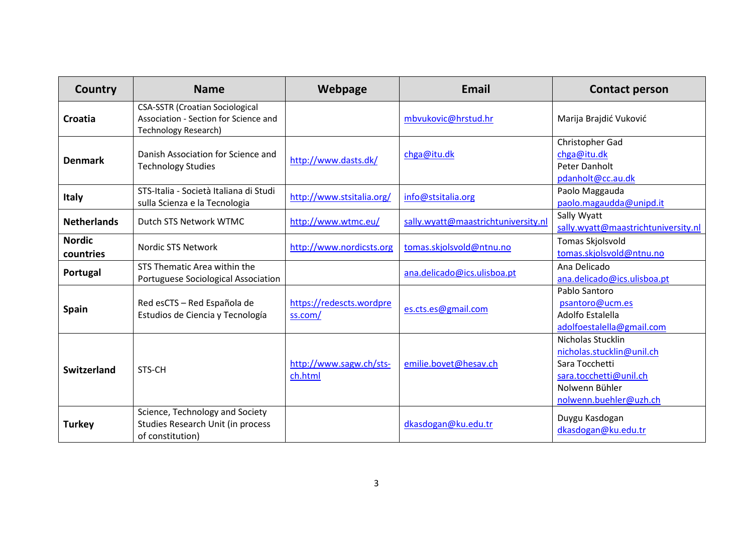| Country                    | <b>Name</b>                                                                                             | Webpage                             | Email                               | <b>Contact person</b>                                                                                                                  |
|----------------------------|---------------------------------------------------------------------------------------------------------|-------------------------------------|-------------------------------------|----------------------------------------------------------------------------------------------------------------------------------------|
| Croatia                    | <b>CSA-SSTR (Croatian Sociological</b><br>Association - Section for Science and<br>Technology Research) |                                     | mbvukovic@hrstud.hr                 | Marija Brajdić Vuković                                                                                                                 |
| <b>Denmark</b>             | Danish Association for Science and<br><b>Technology Studies</b>                                         | http://www.dasts.dk/                | chga@itu.dk                         | Christopher Gad<br>chga@itu.dk<br>Peter Danholt<br>pdanholt@cc.au.dk                                                                   |
| <b>Italy</b>               | STS-Italia - Società Italiana di Studi<br>sulla Scienza e la Tecnologia                                 | http://www.stsitalia.org/           | info@stsitalia.org                  | Paolo Maggauda<br>paolo.magaudda@unipd.it                                                                                              |
| <b>Netherlands</b>         | Dutch STS Network WTMC                                                                                  | http://www.wtmc.eu/                 | sally.wyatt@maastrichtuniversity.nl | Sally Wyatt<br>sally.wyatt@maastrichtuniversity.nl                                                                                     |
| <b>Nordic</b><br>countries | Nordic STS Network                                                                                      | http://www.nordicsts.org            | tomas.skjolsvold@ntnu.no            | Tomas Skjolsvold<br>tomas.skjolsvold@ntnu.no                                                                                           |
| Portugal                   | STS Thematic Area within the<br>Portuguese Sociological Association                                     |                                     | ana.delicado@ics.ulisboa.pt         | Ana Delicado<br>ana.delicado@ics.ulisboa.pt                                                                                            |
| <b>Spain</b>               | Red esCTS - Red Española de<br>Estudios de Ciencia y Tecnología                                         | https://redescts.wordpre<br>ss.com/ | es.cts.es@gmail.com                 | Pablo Santoro<br>psantoro@ucm.es<br>Adolfo Estalella<br>adolfoestalella@gmail.com                                                      |
| Switzerland                | STS-CH                                                                                                  | http://www.sagw.ch/sts-<br>ch.html  | emilie.bovet@hesav.ch               | Nicholas Stucklin<br>nicholas.stucklin@unil.ch<br>Sara Tocchetti<br>sara.tocchetti@unil.ch<br>Nolwenn Bühler<br>nolwenn.buehler@uzh.ch |
| <b>Turkey</b>              | Science, Technology and Society<br>Studies Research Unit (in process<br>of constitution)                |                                     | dkasdogan@ku.edu.tr                 | Duygu Kasdogan<br>dkasdogan@ku.edu.tr                                                                                                  |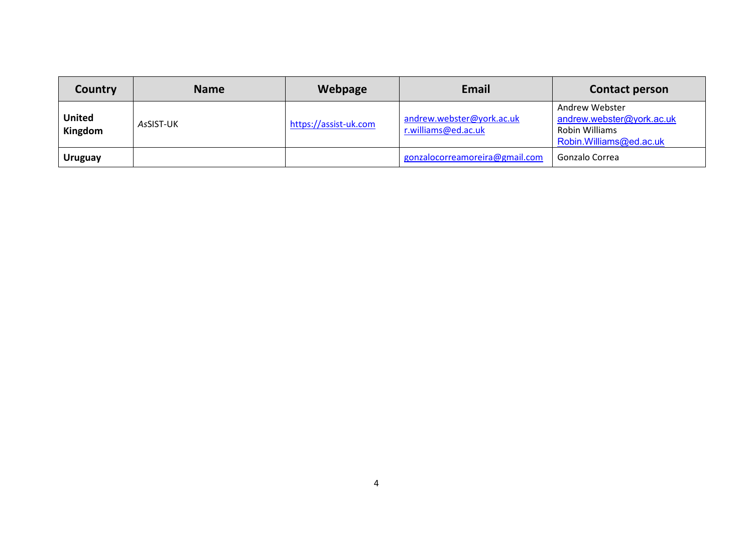| Country                  | <b>Name</b> | Webpage               | Email                                            | <b>Contact person</b>                                                                    |
|--------------------------|-------------|-----------------------|--------------------------------------------------|------------------------------------------------------------------------------------------|
| <b>United</b><br>Kingdom | AsSIST-UK   | https://assist-uk.com | andrew.webster@york.ac.uk<br>r.williams@ed.ac.uk | Andrew Webster<br>andrew.webster@york.ac.uk<br>Robin Williams<br>Robin.Williams@ed.ac.uk |
| <b>Uruguay</b>           |             |                       | gonzalocorreamoreira@gmail.com                   | Gonzalo Correa                                                                           |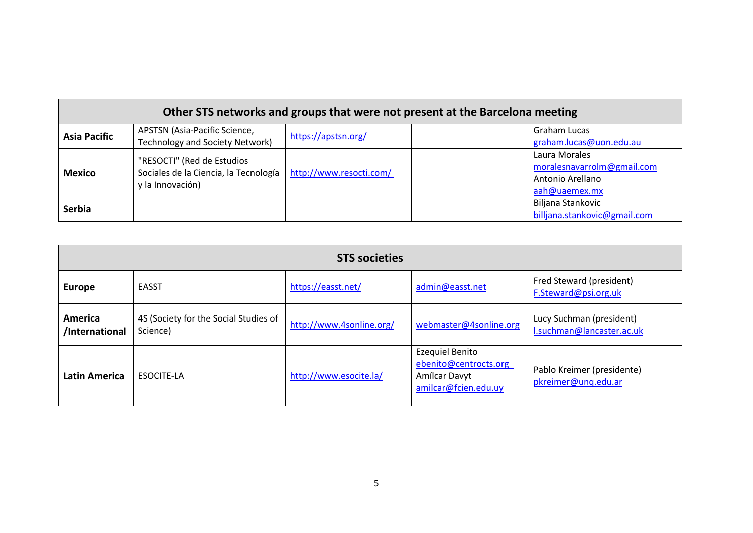| Other STS networks and groups that were not present at the Barcelona meeting |                                                                                           |                         |  |                                                                                  |
|------------------------------------------------------------------------------|-------------------------------------------------------------------------------------------|-------------------------|--|----------------------------------------------------------------------------------|
| <b>Asia Pacific</b>                                                          | APSTSN (Asia-Pacific Science,<br><b>Technology and Society Network)</b>                   | https://apstsn.org/     |  | Graham Lucas<br>graham.lucas@uon.edu.au                                          |
| <b>Mexico</b>                                                                | "RESOCTI" (Red de Estudios<br>Sociales de la Ciencia, la Tecnología  <br>y la Innovación) | http://www.resocti.com/ |  | Laura Morales<br>moralesnavarrolm@gmail.com<br>Antonio Arellano<br>aah@uaemex.mx |
| <b>Serbia</b>                                                                |                                                                                           |                         |  | Biljana Stankovic<br>billjana.stankovic@gmail.com                                |

| <b>STS societies</b>      |                                                   |                          |                                                                                          |                                                       |
|---------------------------|---------------------------------------------------|--------------------------|------------------------------------------------------------------------------------------|-------------------------------------------------------|
| <b>Europe</b>             | <b>EASST</b>                                      | https://easst.net/       | admin@easst.net                                                                          | Fred Steward (president)<br>F.Steward@psi.org.uk      |
| America<br>/International | 4S (Society for the Social Studies of<br>Science) | http://www.4sonline.org/ | webmaster@4sonline.org                                                                   | Lucy Suchman (president)<br>I.suchman@lancaster.ac.uk |
| <b>Latin America</b>      | <b>ESOCITE-LA</b>                                 | http://www.esocite.la/   | <b>Ezequiel Benito</b><br>ebenito@centrocts.org<br>Amílcar Davyt<br>amilcar@fcien.edu.uy | Pablo Kreimer (presidente)<br>pkreimer@unq.edu.ar     |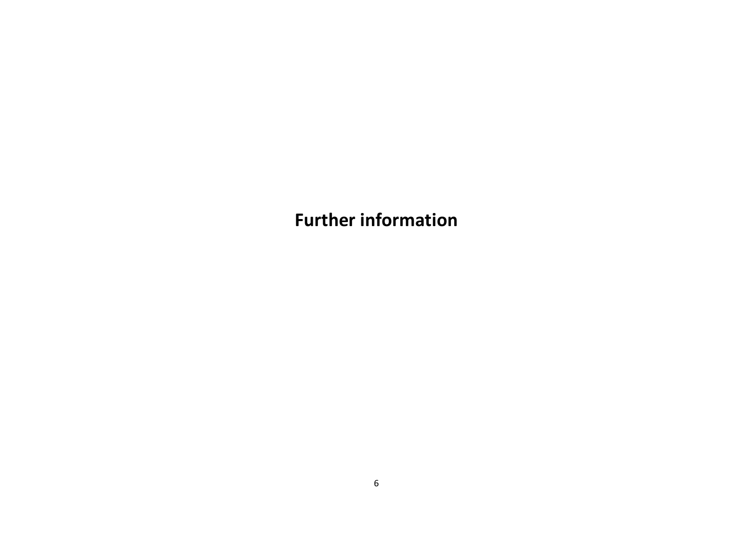**Further information**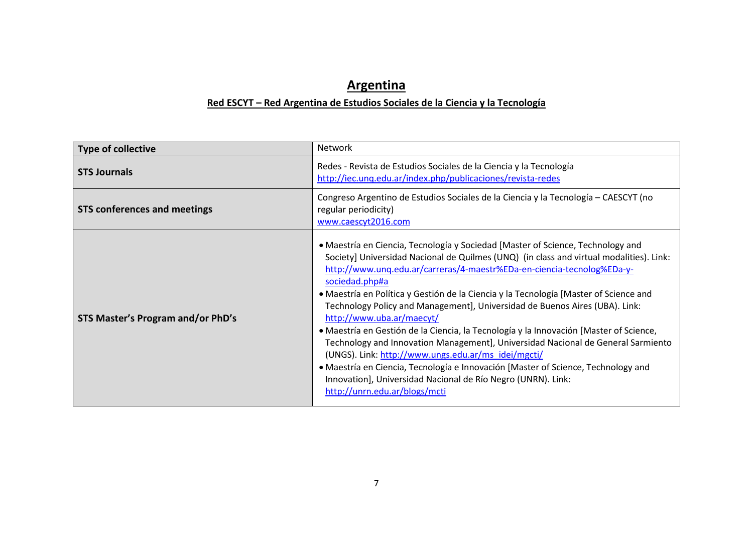## **Argentina**

#### **Red ESCYT – Red Argentina de Estudios Sociales de la Ciencia y la Tecnología**

| <b>Type of collective</b>           | Network                                                                                                                                                                                                                                                                                                                                                                                                                                                                                                                                                                                                                                                                                                                                                                                                                                                                                                |
|-------------------------------------|--------------------------------------------------------------------------------------------------------------------------------------------------------------------------------------------------------------------------------------------------------------------------------------------------------------------------------------------------------------------------------------------------------------------------------------------------------------------------------------------------------------------------------------------------------------------------------------------------------------------------------------------------------------------------------------------------------------------------------------------------------------------------------------------------------------------------------------------------------------------------------------------------------|
| <b>STS Journals</b>                 | Redes - Revista de Estudios Sociales de la Ciencia y la Tecnología<br>http://iec.unq.edu.ar/index.php/publicaciones/revista-redes                                                                                                                                                                                                                                                                                                                                                                                                                                                                                                                                                                                                                                                                                                                                                                      |
| <b>STS conferences and meetings</b> | Congreso Argentino de Estudios Sociales de la Ciencia y la Tecnología - CAESCYT (no<br>regular periodicity)<br>www.caescyt2016.com                                                                                                                                                                                                                                                                                                                                                                                                                                                                                                                                                                                                                                                                                                                                                                     |
| STS Master's Program and/or PhD's   | • Maestría en Ciencia, Tecnología y Sociedad [Master of Science, Technology and<br>Society] Universidad Nacional de Quilmes (UNQ) (in class and virtual modalities). Link:<br>http://www.unq.edu.ar/carreras/4-maestr%EDa-en-ciencia-tecnolog%EDa-y-<br>sociedad.php#a<br>• Maestría en Política y Gestión de la Ciencia y la Tecnología [Master of Science and<br>Technology Policy and Management], Universidad de Buenos Aires (UBA). Link:<br>http://www.uba.ar/maecyt/<br>· Maestría en Gestión de la Ciencia, la Tecnología y la Innovación [Master of Science,<br>Technology and Innovation Management], Universidad Nacional de General Sarmiento<br>(UNGS). Link: http://www.ungs.edu.ar/ms_idei/mgcti/<br>• Maestría en Ciencia, Tecnología e Innovación [Master of Science, Technology and<br>Innovation], Universidad Nacional de Río Negro (UNRN). Link:<br>http://unrn.edu.ar/blogs/mcti |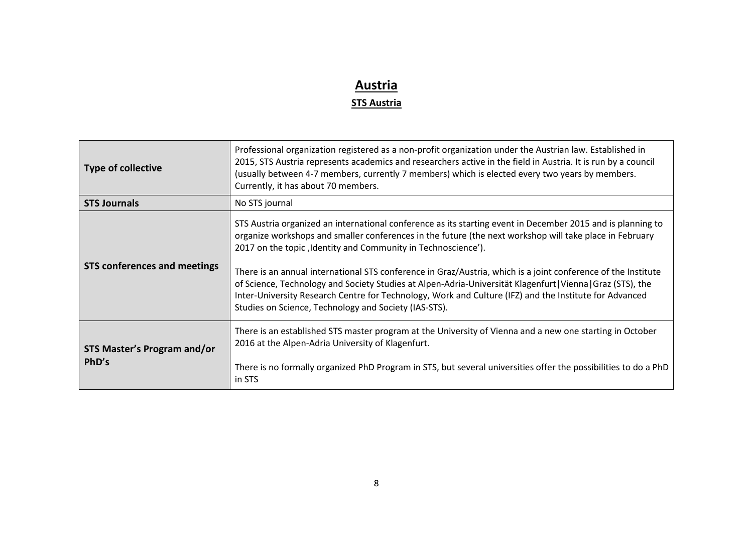# **Austria**

#### **STS Austria**

| <b>Type of collective</b>                   | Professional organization registered as a non-profit organization under the Austrian law. Established in<br>2015, STS Austria represents academics and researchers active in the field in Austria. It is run by a council<br>(usually between 4-7 members, currently 7 members) which is elected every two years by members.<br>Currently, it has about 70 members.                                                                                                                                                                                                                                                                                                                        |
|---------------------------------------------|--------------------------------------------------------------------------------------------------------------------------------------------------------------------------------------------------------------------------------------------------------------------------------------------------------------------------------------------------------------------------------------------------------------------------------------------------------------------------------------------------------------------------------------------------------------------------------------------------------------------------------------------------------------------------------------------|
| <b>STS Journals</b>                         | No STS journal                                                                                                                                                                                                                                                                                                                                                                                                                                                                                                                                                                                                                                                                             |
| <b>STS conferences and meetings</b>         | STS Austria organized an international conference as its starting event in December 2015 and is planning to<br>organize workshops and smaller conferences in the future (the next workshop will take place in February<br>2017 on the topic, Identity and Community in Technoscience').<br>There is an annual international STS conference in Graz/Austria, which is a joint conference of the Institute<br>of Science, Technology and Society Studies at Alpen-Adria-Universität Klagenfurt   Vienna   Graz (STS), the<br>Inter-University Research Centre for Technology, Work and Culture (IFZ) and the Institute for Advanced<br>Studies on Science, Technology and Society (IAS-STS). |
| <b>STS Master's Program and/or</b><br>PhD's | There is an established STS master program at the University of Vienna and a new one starting in October<br>2016 at the Alpen-Adria University of Klagenfurt.<br>There is no formally organized PhD Program in STS, but several universities offer the possibilities to do a PhD<br>in STS                                                                                                                                                                                                                                                                                                                                                                                                 |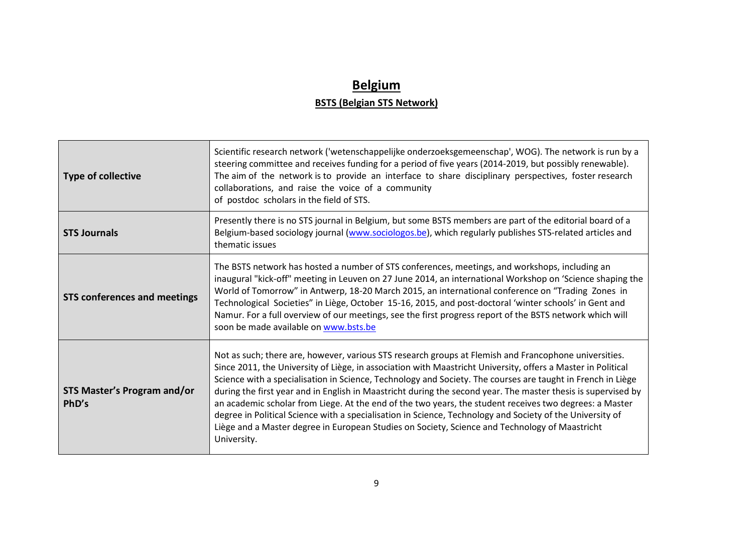### **Belgium BSTS (Belgian STS Network)**

| <b>Type of collective</b>                   | Scientific research network ('wetenschappelijke onderzoeksgemeenschap', WOG). The network is run by a<br>steering committee and receives funding for a period of five years (2014-2019, but possibly renewable).<br>The aim of the network is to provide an interface to share disciplinary perspectives, foster research<br>collaborations, and raise the voice of a community<br>of postdoc scholars in the field of STS.                                                                                                                                                                                                                                                                                                                                                                    |
|---------------------------------------------|------------------------------------------------------------------------------------------------------------------------------------------------------------------------------------------------------------------------------------------------------------------------------------------------------------------------------------------------------------------------------------------------------------------------------------------------------------------------------------------------------------------------------------------------------------------------------------------------------------------------------------------------------------------------------------------------------------------------------------------------------------------------------------------------|
| <b>STS Journals</b>                         | Presently there is no STS journal in Belgium, but some BSTS members are part of the editorial board of a<br>Belgium-based sociology journal (www.sociologos.be), which regularly publishes STS-related articles and<br>thematic issues                                                                                                                                                                                                                                                                                                                                                                                                                                                                                                                                                         |
| <b>STS conferences and meetings</b>         | The BSTS network has hosted a number of STS conferences, meetings, and workshops, including an<br>inaugural "kick-off" meeting in Leuven on 27 June 2014, an international Workshop on 'Science shaping the<br>World of Tomorrow" in Antwerp, 18-20 March 2015, an international conference on "Trading Zones in<br>Technological Societies" in Liège, October 15-16, 2015, and post-doctoral 'winter schools' in Gent and<br>Namur. For a full overview of our meetings, see the first progress report of the BSTS network which will<br>soon be made available on www.bsts.be                                                                                                                                                                                                                |
| <b>STS Master's Program and/or</b><br>PhD's | Not as such; there are, however, various STS research groups at Flemish and Francophone universities.<br>Since 2011, the University of Liège, in association with Maastricht University, offers a Master in Political<br>Science with a specialisation in Science, Technology and Society. The courses are taught in French in Liège<br>during the first year and in English in Maastricht during the second year. The master thesis is supervised by<br>an academic scholar from Liege. At the end of the two years, the student receives two degrees: a Master<br>degree in Political Science with a specialisation in Science, Technology and Society of the University of<br>Liège and a Master degree in European Studies on Society, Science and Technology of Maastricht<br>University. |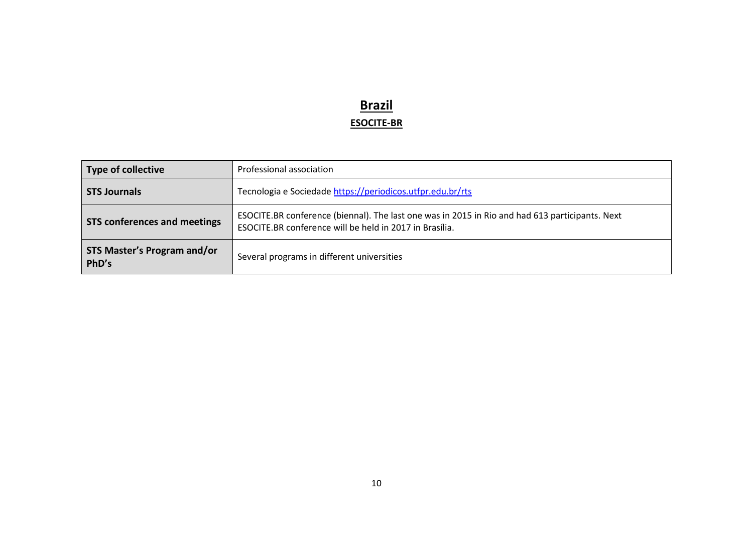### **Brazil ESOCITE-BR**

| <b>Type of collective</b>                   | Professional association                                                                                                                                   |
|---------------------------------------------|------------------------------------------------------------------------------------------------------------------------------------------------------------|
| <b>STS Journals</b>                         | Tecnologia e Sociedade https://periodicos.utfpr.edu.br/rts                                                                                                 |
| <b>STS conferences and meetings</b>         | ESOCITE.BR conference (biennal). The last one was in 2015 in Rio and had 613 participants. Next<br>ESOCITE.BR conference will be held in 2017 in Brasília. |
| <b>STS Master's Program and/or</b><br>PhD's | Several programs in different universities                                                                                                                 |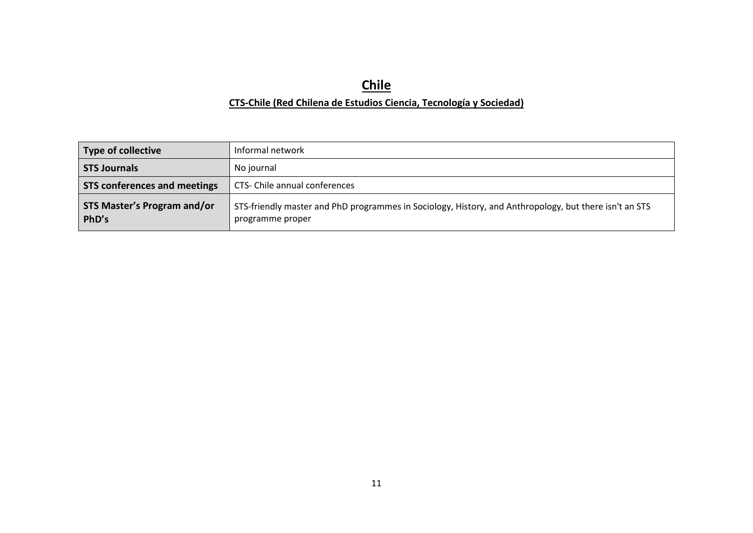# **Chile**

#### **CTS-Chile (Red Chilena de Estudios Ciencia, Tecnología y Sociedad)**

| <b>Type of collective</b>                   | Informal network                                                                                                           |
|---------------------------------------------|----------------------------------------------------------------------------------------------------------------------------|
| <b>STS Journals</b>                         | No journal                                                                                                                 |
| <b>STS conferences and meetings</b>         | CTS- Chile annual conferences                                                                                              |
| <b>STS Master's Program and/or</b><br>PhD's | STS-friendly master and PhD programmes in Sociology, History, and Anthropology, but there isn't an STS<br>programme proper |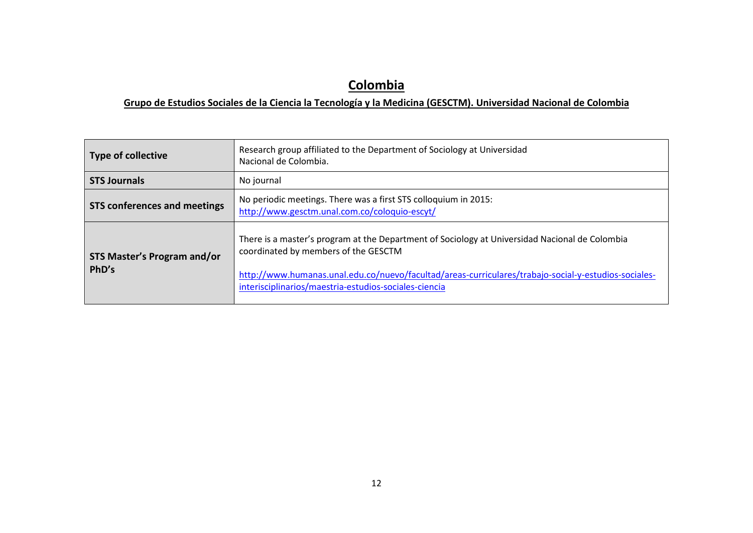# **Colombia**

#### **Grupo de Estudios Sociales de la Ciencia la Tecnología y la Medicina (GESCTM). Universidad Nacional de Colombia**

| Type of collective                          | Research group affiliated to the Department of Sociology at Universidad<br>Nacional de Colombia.                                                                                                                                                                                                        |
|---------------------------------------------|---------------------------------------------------------------------------------------------------------------------------------------------------------------------------------------------------------------------------------------------------------------------------------------------------------|
| <b>STS Journals</b>                         | No journal                                                                                                                                                                                                                                                                                              |
| <b>STS conferences and meetings</b>         | No periodic meetings. There was a first STS colloquium in 2015:<br>http://www.gesctm.unal.com.co/coloquio-escyt/                                                                                                                                                                                        |
| <b>STS Master's Program and/or</b><br>PhD's | There is a master's program at the Department of Sociology at Universidad Nacional de Colombia<br>coordinated by members of the GESCTM<br>http://www.humanas.unal.edu.co/nuevo/facultad/areas-curriculares/trabajo-social-y-estudios-sociales-<br>interisciplinarios/maestria-estudios-sociales-ciencia |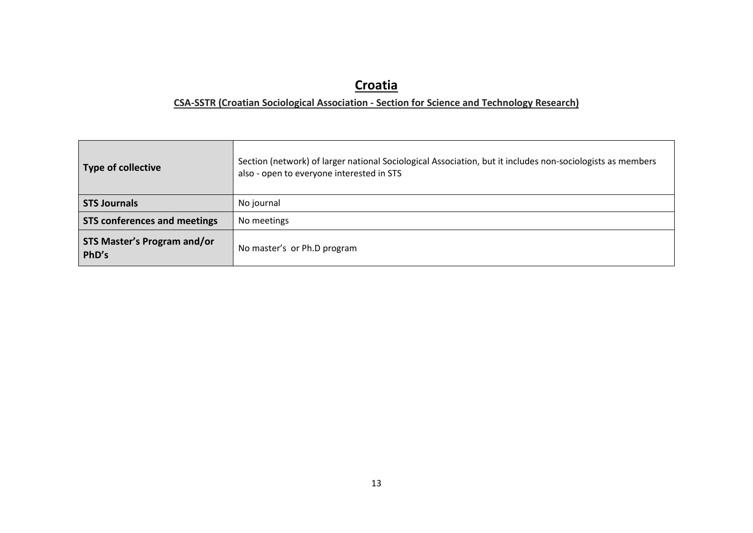## **Croatia**

#### **CSA-SSTR (Croatian Sociological Association - Section for Science and Technology Research)**

| Type of collective                          | Section (network) of larger national Sociological Association, but it includes non-sociologists as members<br>also - open to everyone interested in STS |
|---------------------------------------------|---------------------------------------------------------------------------------------------------------------------------------------------------------|
| <b>STS Journals</b>                         | No journal                                                                                                                                              |
| <b>STS conferences and meetings</b>         | No meetings                                                                                                                                             |
| <b>STS Master's Program and/or</b><br>PhD's | No master's or Ph.D program                                                                                                                             |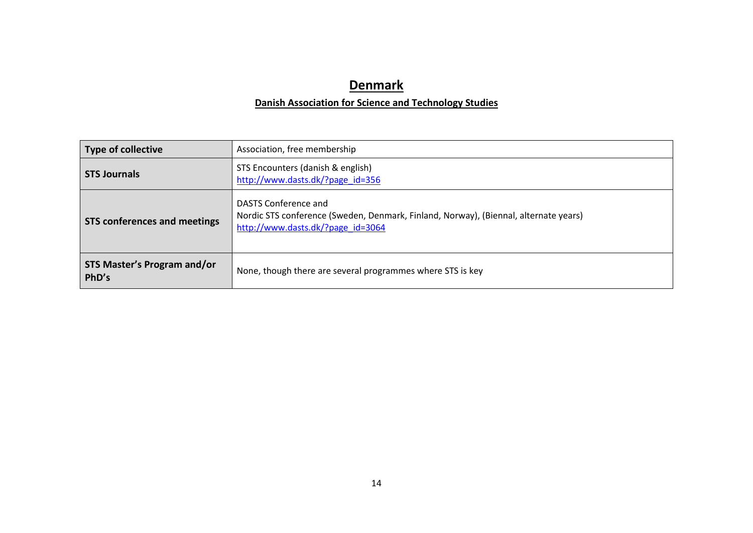## **Denmark**

#### **Danish Association for Science and Technology Studies**

| <b>Type of collective</b>                   | Association, free membership                                                                                                                      |
|---------------------------------------------|---------------------------------------------------------------------------------------------------------------------------------------------------|
| <b>STS Journals</b>                         | STS Encounters (danish & english)<br>http://www.dasts.dk/?page id=356                                                                             |
| <b>STS conferences and meetings</b>         | DASTS Conference and<br>Nordic STS conference (Sweden, Denmark, Finland, Norway), (Biennal, alternate years)<br>http://www.dasts.dk/?page_id=3064 |
| <b>STS Master's Program and/or</b><br>PhD's | None, though there are several programmes where STS is key                                                                                        |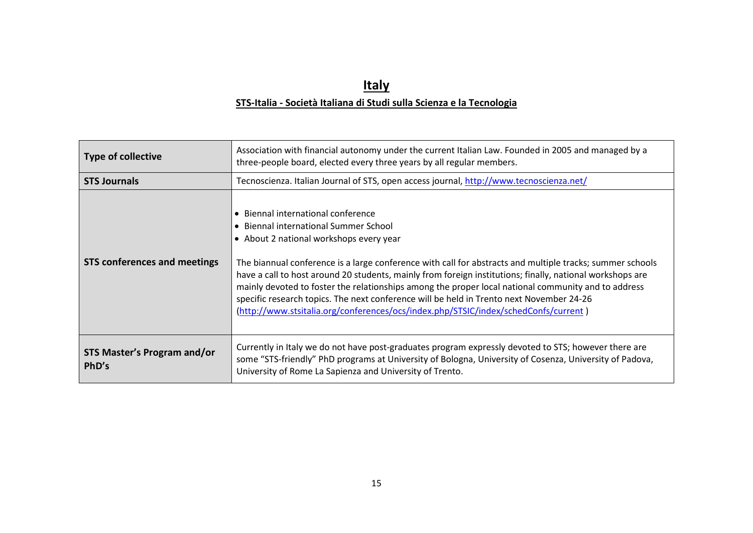### **ItalySTS-Italia - Società Italiana di Studi sulla Scienza e la Tecnologia**

| <b>Type of collective</b>                   | Association with financial autonomy under the current Italian Law. Founded in 2005 and managed by a<br>three-people board, elected every three years by all regular members.                                                                                                                                                                                                                                                                                                                                                                                                                                                               |
|---------------------------------------------|--------------------------------------------------------------------------------------------------------------------------------------------------------------------------------------------------------------------------------------------------------------------------------------------------------------------------------------------------------------------------------------------------------------------------------------------------------------------------------------------------------------------------------------------------------------------------------------------------------------------------------------------|
| <b>STS Journals</b>                         | Tecnoscienza. Italian Journal of STS, open access journal, http://www.tecnoscienza.net/                                                                                                                                                                                                                                                                                                                                                                                                                                                                                                                                                    |
| <b>STS conferences and meetings</b>         | • Biennal international conference<br>• Biennal international Summer School<br>• About 2 national workshops every year<br>The biannual conference is a large conference with call for abstracts and multiple tracks; summer schools<br>have a call to host around 20 students, mainly from foreign institutions; finally, national workshops are<br>mainly devoted to foster the relationships among the proper local national community and to address<br>specific research topics. The next conference will be held in Trento next November 24-26<br>(http://www.stsitalia.org/conferences/ocs/index.php/STSIC/index/schedConfs/current) |
| <b>STS Master's Program and/or</b><br>PhD's | Currently in Italy we do not have post-graduates program expressly devoted to STS; however there are<br>some "STS-friendly" PhD programs at University of Bologna, University of Cosenza, University of Padova,<br>University of Rome La Sapienza and University of Trento.                                                                                                                                                                                                                                                                                                                                                                |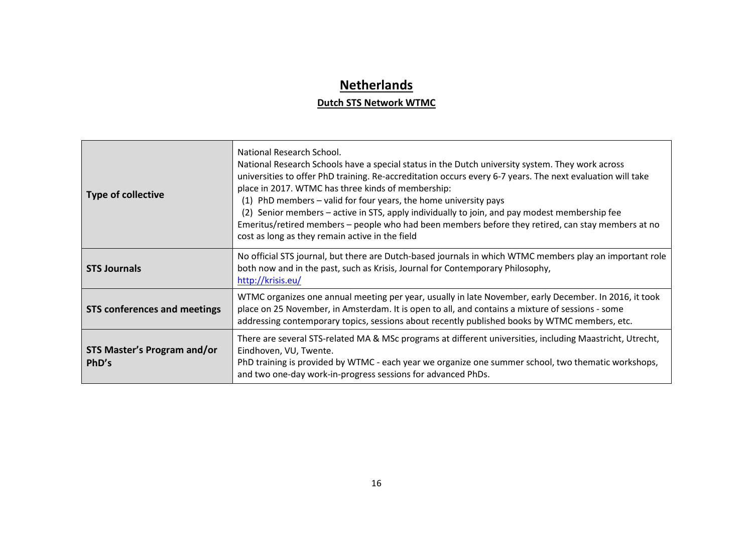## **Netherlands**

#### **Dutch STS Network WTMC**

| <b>Type of collective</b>            | National Research School.<br>National Research Schools have a special status in the Dutch university system. They work across<br>universities to offer PhD training. Re-accreditation occurs every 6-7 years. The next evaluation will take<br>place in 2017. WTMC has three kinds of membership:<br>(1) PhD members - valid for four years, the home university pays<br>(2) Senior members - active in STS, apply individually to join, and pay modest membership fee<br>Emeritus/retired members – people who had been members before they retired, can stay members at no<br>cost as long as they remain active in the field |
|--------------------------------------|---------------------------------------------------------------------------------------------------------------------------------------------------------------------------------------------------------------------------------------------------------------------------------------------------------------------------------------------------------------------------------------------------------------------------------------------------------------------------------------------------------------------------------------------------------------------------------------------------------------------------------|
| <b>STS Journals</b>                  | No official STS journal, but there are Dutch-based journals in which WTMC members play an important role<br>both now and in the past, such as Krisis, Journal for Contemporary Philosophy,<br>http://krisis.eu/                                                                                                                                                                                                                                                                                                                                                                                                                 |
| <b>STS conferences and meetings</b>  | WTMC organizes one annual meeting per year, usually in late November, early December. In 2016, it took<br>place on 25 November, in Amsterdam. It is open to all, and contains a mixture of sessions - some<br>addressing contemporary topics, sessions about recently published books by WTMC members, etc.                                                                                                                                                                                                                                                                                                                     |
| STS Master's Program and/or<br>PhD's | There are several STS-related MA & MSc programs at different universities, including Maastricht, Utrecht,<br>Eindhoven, VU, Twente.<br>PhD training is provided by WTMC - each year we organize one summer school, two thematic workshops,<br>and two one-day work-in-progress sessions for advanced PhDs.                                                                                                                                                                                                                                                                                                                      |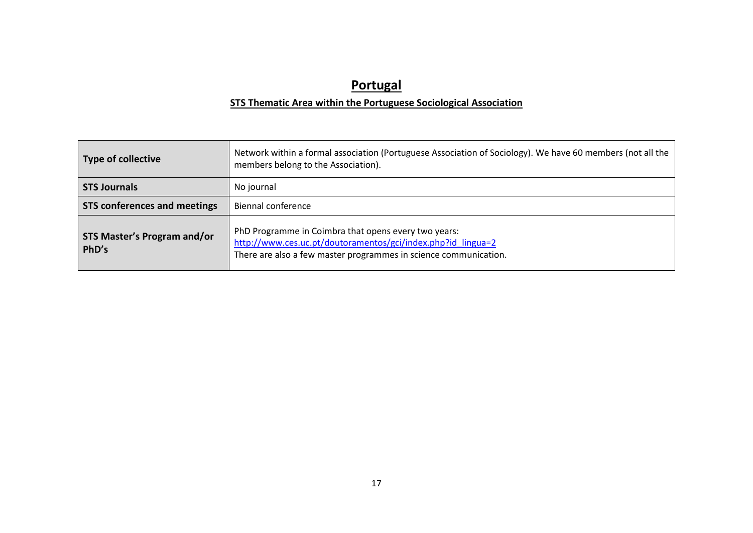### **Portugal**

#### **STS Thematic Area within the Portuguese Sociological Association**

| Type of collective                          | Network within a formal association (Portuguese Association of Sociology). We have 60 members (not all the<br>members belong to the Association).                                        |
|---------------------------------------------|------------------------------------------------------------------------------------------------------------------------------------------------------------------------------------------|
| <b>STS Journals</b>                         | No journal                                                                                                                                                                               |
| <b>STS conferences and meetings</b>         | <b>Biennal conference</b>                                                                                                                                                                |
| <b>STS Master's Program and/or</b><br>PhD's | PhD Programme in Coimbra that opens every two years:<br>http://www.ces.uc.pt/doutoramentos/gci/index.php?id_lingua=2<br>There are also a few master programmes in science communication. |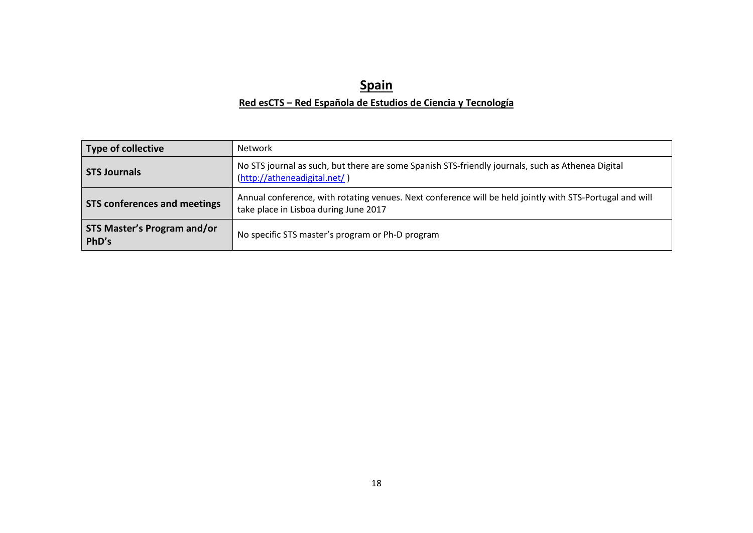### **SpainRed esCTS – Red Española de Estudios de Ciencia y Tecnología**

| <b>Type of collective</b>                   | <b>Network</b>                                                                                                                                    |
|---------------------------------------------|---------------------------------------------------------------------------------------------------------------------------------------------------|
| <b>STS Journals</b>                         | No STS journal as such, but there are some Spanish STS-friendly journals, such as Athenea Digital<br>(http://atheneadigital.net/)                 |
| <b>STS conferences and meetings</b>         | Annual conference, with rotating venues. Next conference will be held jointly with STS-Portugal and will<br>take place in Lisboa during June 2017 |
| <b>STS Master's Program and/or</b><br>PhD's | No specific STS master's program or Ph-D program                                                                                                  |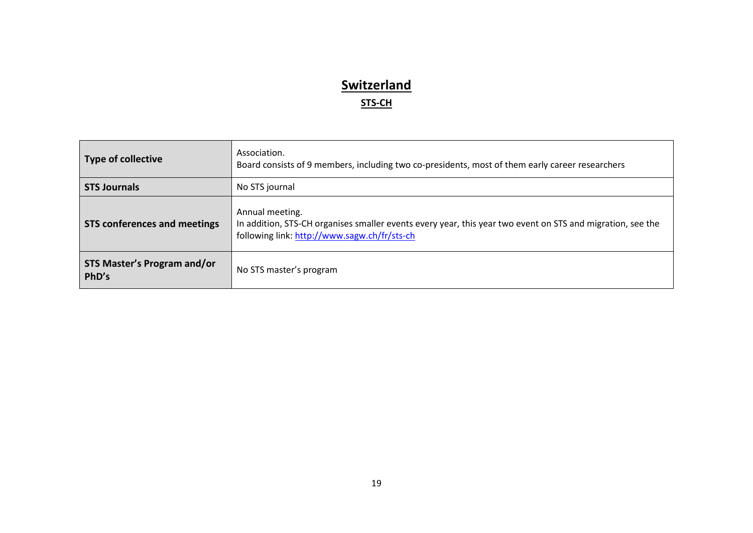# **Switzerland**

### **STS-CH**

| <b>Type of collective</b>                   | Association.<br>Board consists of 9 members, including two co-presidents, most of them early career researchers                                                               |
|---------------------------------------------|-------------------------------------------------------------------------------------------------------------------------------------------------------------------------------|
| <b>STS Journals</b>                         | No STS journal                                                                                                                                                                |
| <b>STS conferences and meetings</b>         | Annual meeting.<br>In addition, STS-CH organises smaller events every year, this year two event on STS and migration, see the<br>following link: http://www.sagw.ch/fr/sts-ch |
| <b>STS Master's Program and/or</b><br>PhD's | No STS master's program                                                                                                                                                       |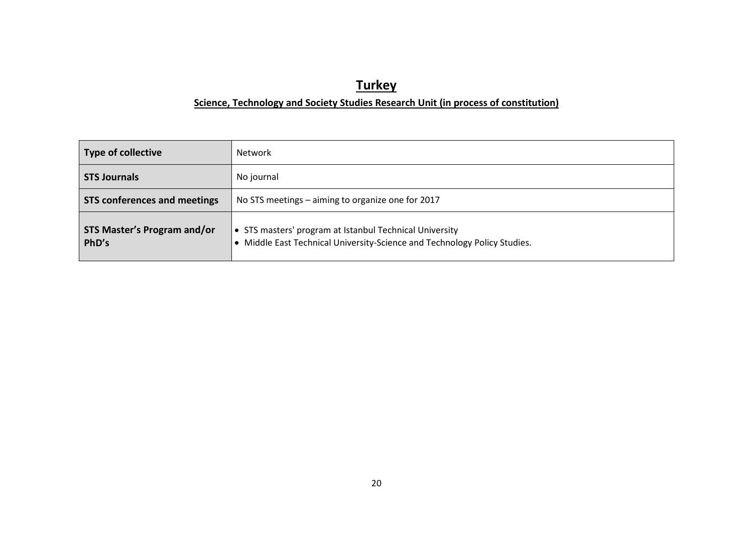# **Turkey**

#### **Science, Technology and Society Studies Research Unit (in process of constitution)**

| Type of collective                          | Network                                                                                                                              |
|---------------------------------------------|--------------------------------------------------------------------------------------------------------------------------------------|
| <b>STS Journals</b>                         | No journal                                                                                                                           |
| <b>STS conferences and meetings</b>         | No STS meetings - aiming to organize one for 2017                                                                                    |
| <b>STS Master's Program and/or</b><br>PhD's | • STS masters' program at Istanbul Technical University<br>• Middle East Technical University-Science and Technology Policy Studies. |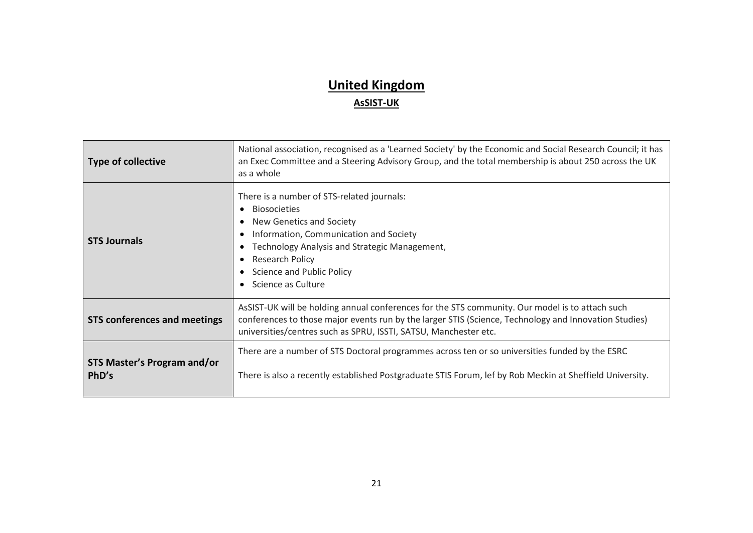# **United KingdomAsSIST-UK**

| <b>Type of collective</b>                   | National association, recognised as a 'Learned Society' by the Economic and Social Research Council; it has<br>an Exec Committee and a Steering Advisory Group, and the total membership is about 250 across the UK<br>as a whole                                            |
|---------------------------------------------|------------------------------------------------------------------------------------------------------------------------------------------------------------------------------------------------------------------------------------------------------------------------------|
| <b>STS Journals</b>                         | There is a number of STS-related journals:<br><b>Biosocieties</b><br>New Genetics and Society<br>Information, Communication and Society<br>Technology Analysis and Strategic Management,<br><b>Research Policy</b><br>Science and Public Policy<br>Science as Culture        |
| <b>STS conferences and meetings</b>         | AsSIST-UK will be holding annual conferences for the STS community. Our model is to attach such<br>conferences to those major events run by the larger STIS (Science, Technology and Innovation Studies)<br>universities/centres such as SPRU, ISSTI, SATSU, Manchester etc. |
| <b>STS Master's Program and/or</b><br>PhD's | There are a number of STS Doctoral programmes across ten or so universities funded by the ESRC<br>There is also a recently established Postgraduate STIS Forum, lef by Rob Meckin at Sheffield University.                                                                   |